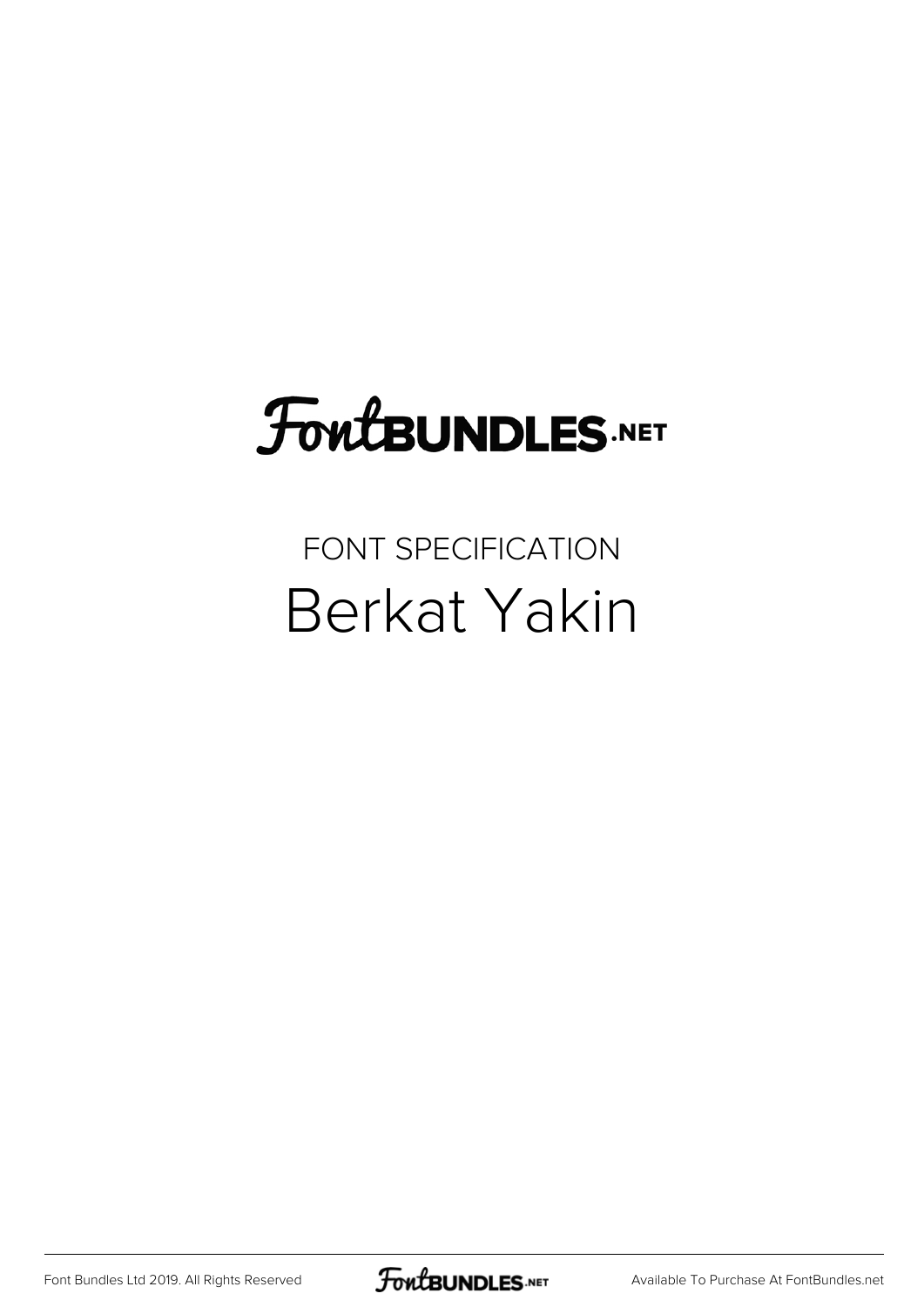## **FoutBUNDLES.NET**

## FONT SPECIFICATION Berkat Yakin

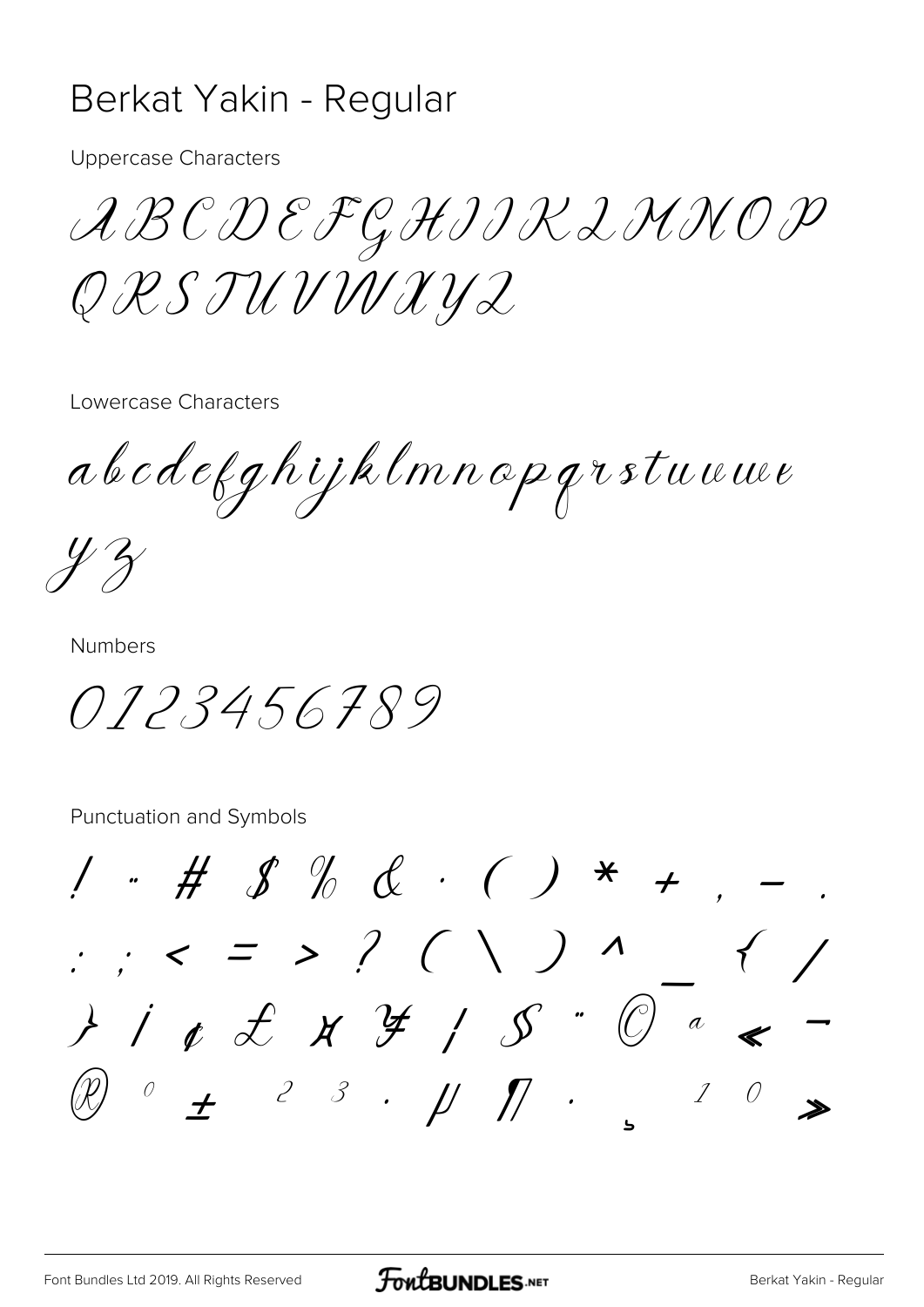## Berkat Yakin - Regular

**Uppercase Characters** 

ABCDEFGHIIK L'HNOP Q R S TU V W X Y Z

Lowercase Characters

abcdefghijklmnopgrstuuwe

 $\frac{1}{2}$ 

**Numbers** 

0123456789

Punctuation and Symbols

 $1 + # 8 % & . () * + , \frac{1}{2}$  ; < = > ? ( \ ) ^  $\mathscr{D}$   $\circ$   $\mathscr{F}$   $\rightarrow$   $\mathscr{F}$   $\rightarrow$   $\mathscr{F}$   $\rightarrow$   $\mathscr{F}$   $\rightarrow$   $\mathscr{F}$   $\rightarrow$   $\mathscr{F}$  $\overline{O}$  $\mathcal{I}$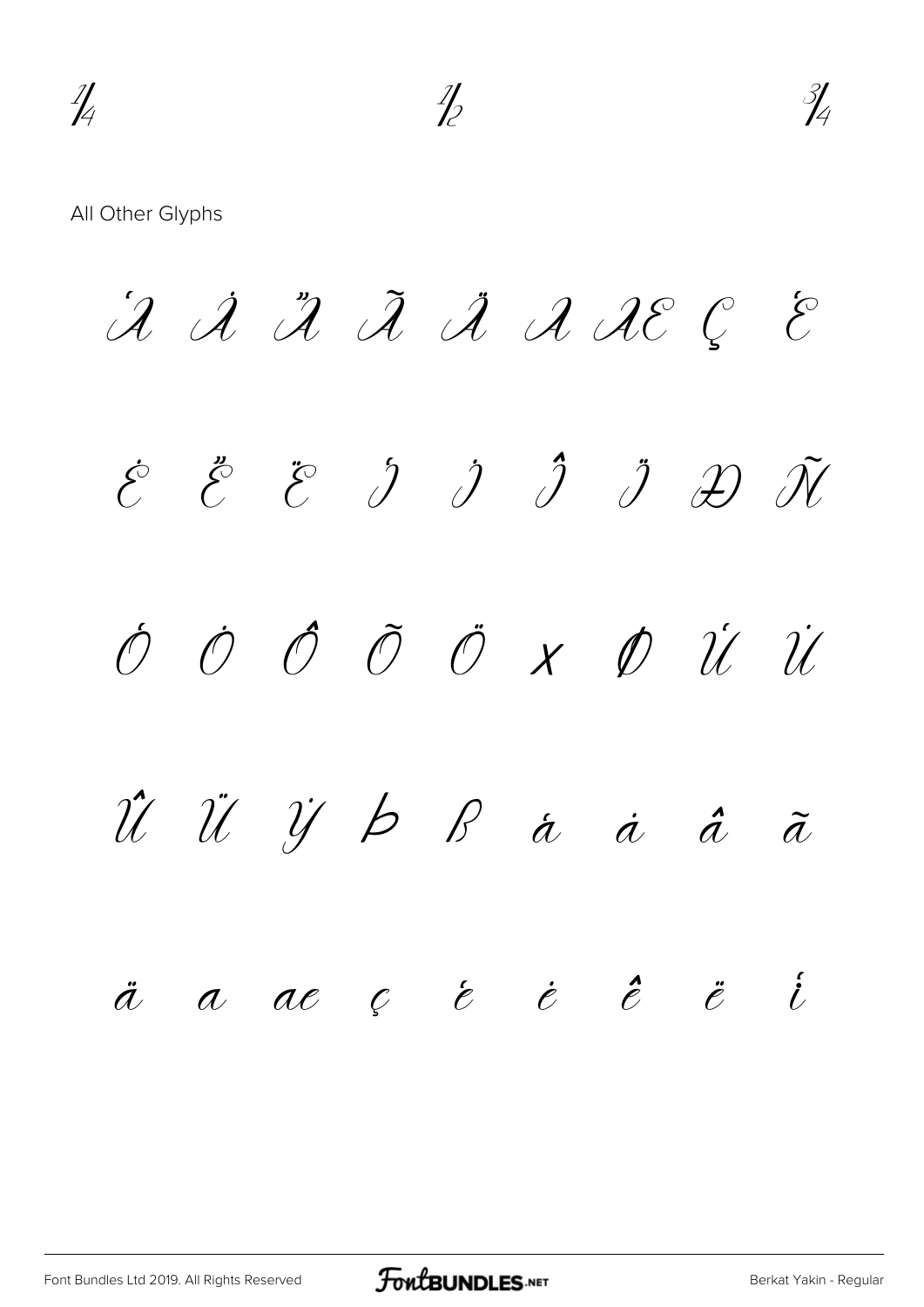All Other Glyphs

 $\hat{\mathcal{A}}$   $\hat{\mathcal{A}}$   $\hat{\mathcal{A}}$   $\hat{\mathcal{A}}$   $\hat{\mathcal{A}}$   $\hat{\mathcal{A}}$   $\hat{\mathcal{A}}$   $\hat{\mathcal{C}}$   $\hat{\mathcal{C}}$  $\acute{\mathcal{E}}$   $\acute{\mathcal{E}}$   $\ddot{\mathcal{E}}$   $\ddot{\mathcal{Y}}$   $\dot{\mathcal{Y}}$   $\ddot{\mathcal{Y}}$   $\ddot{\mathcal{Y}}$   $\ddot{\mathcal{Y}}$ Ò Ó Ô Õ Ö × Ø Ù Ú Û Ü Ý Þ ß à á â ã ä å æ ç è é ê ë ì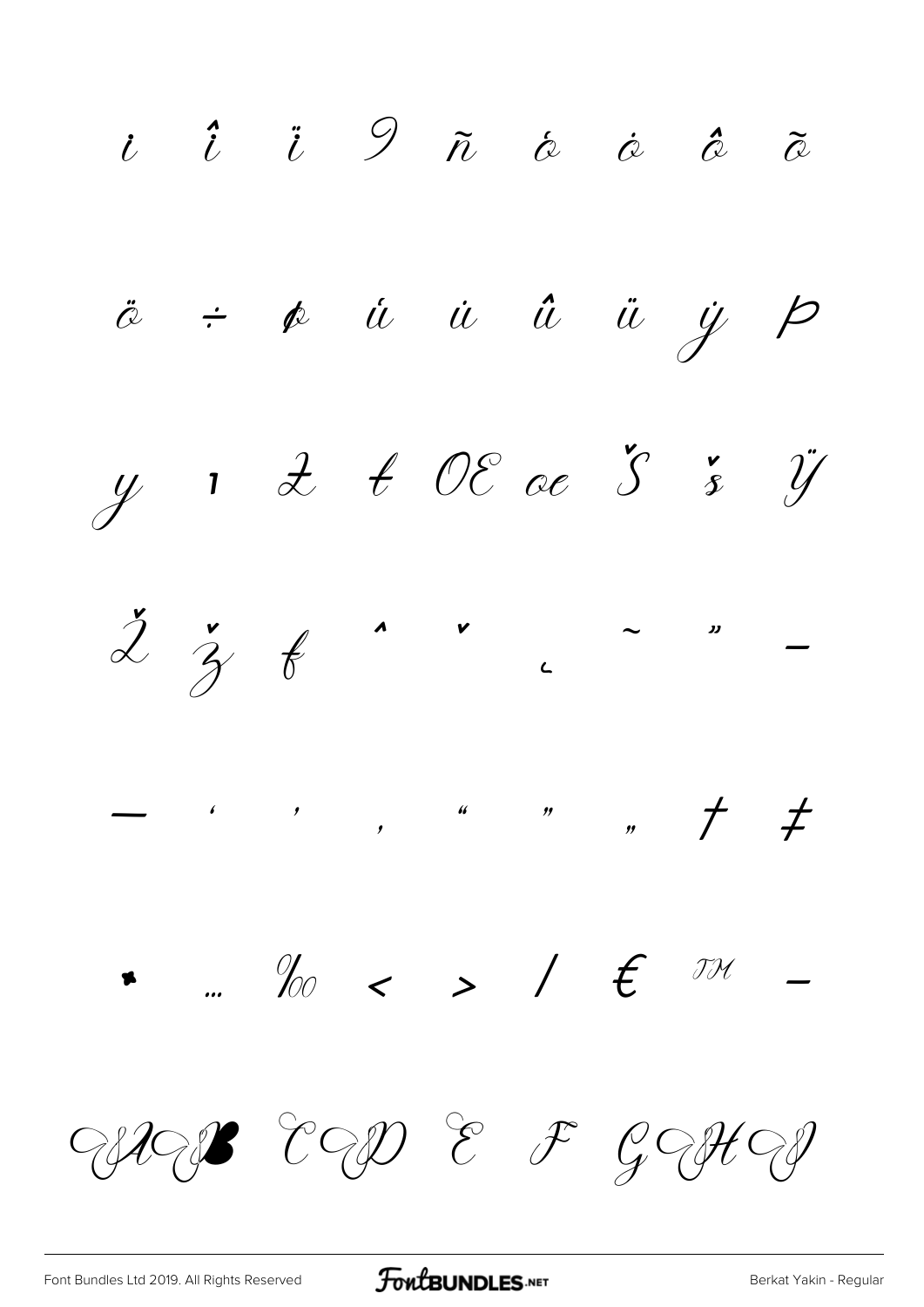

FontBUNDLES.NET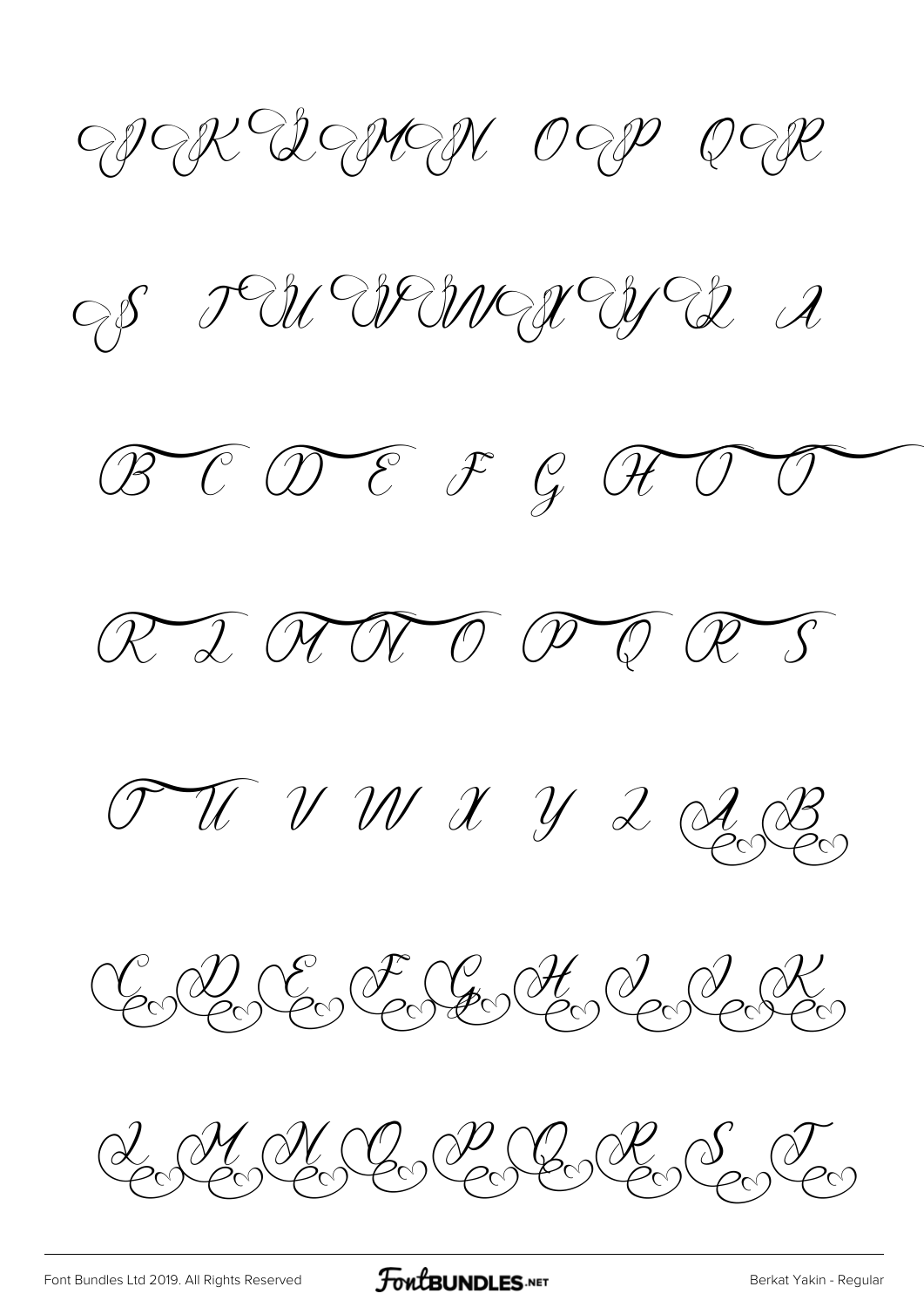WAR DEMAN OEP PER

S LA Armer WA I

 $\mathscr{B}$ C  $\mathscr{D}$ E  $\mathscr{F}$  G  $\mathscr{G}$ 



TUVNXY2QB

CACE FREACE

 $\mathscr{A}_{\mathcal{O}}\mathscr{C}_{\mathcal{O}}\mathscr{C}_{\mathcal{O}}\mathscr{C}_{\mathcal{O}}\mathscr{C}_{\mathcal{O}}\mathscr{C}_{\mathcal{O}}\mathscr{C}_{\mathcal{O}}\mathscr{C}_{\mathcal{O}}$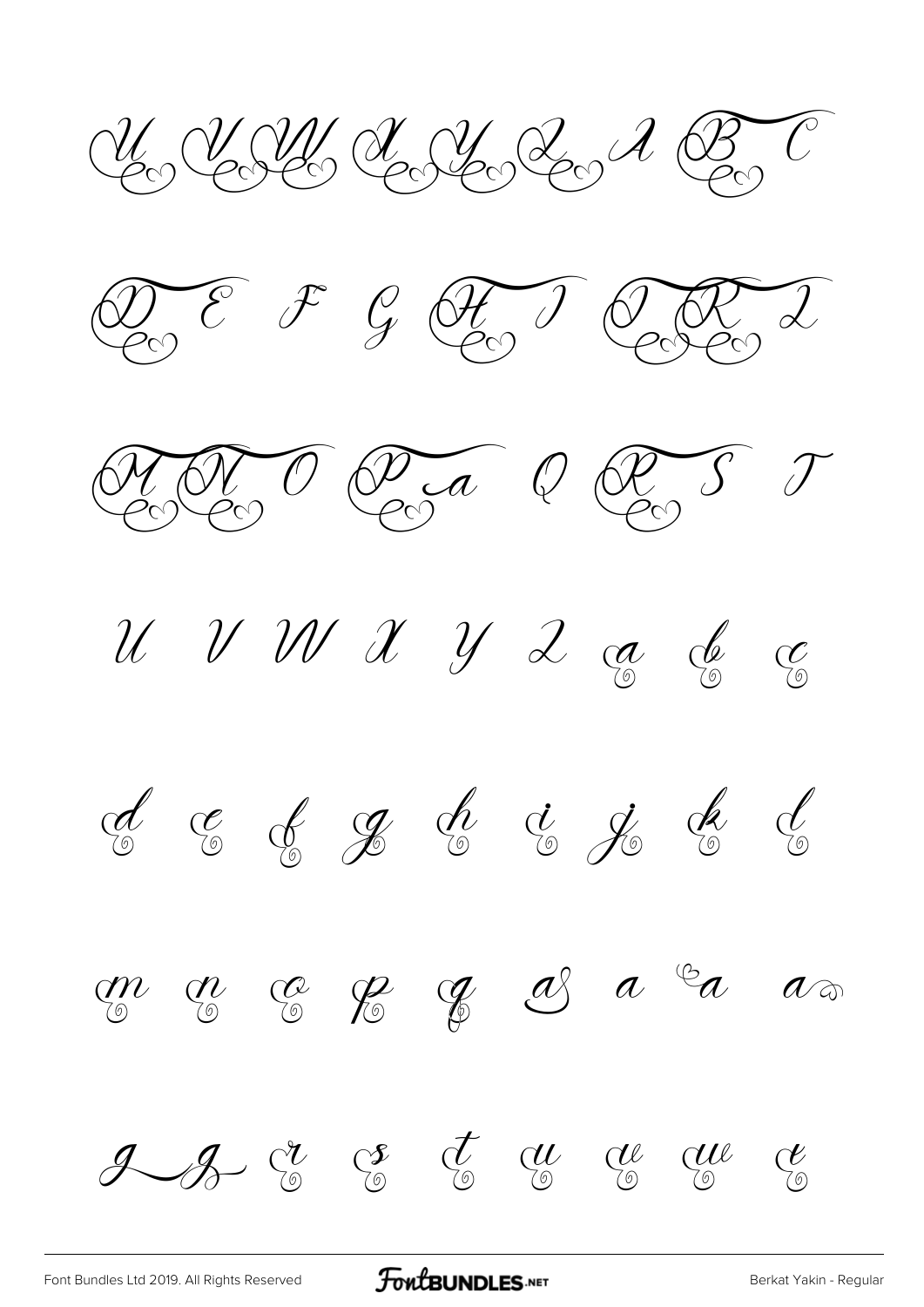Un Y AN Song Y Son A B











 $\mathscr{A}$  &  $\mathscr{C}$   $\mathscr{C}$   $\mathscr{C}$   $\mathscr{C}$   $\mathscr{C}$   $\mathscr{C}$   $\mathscr{C}$ 

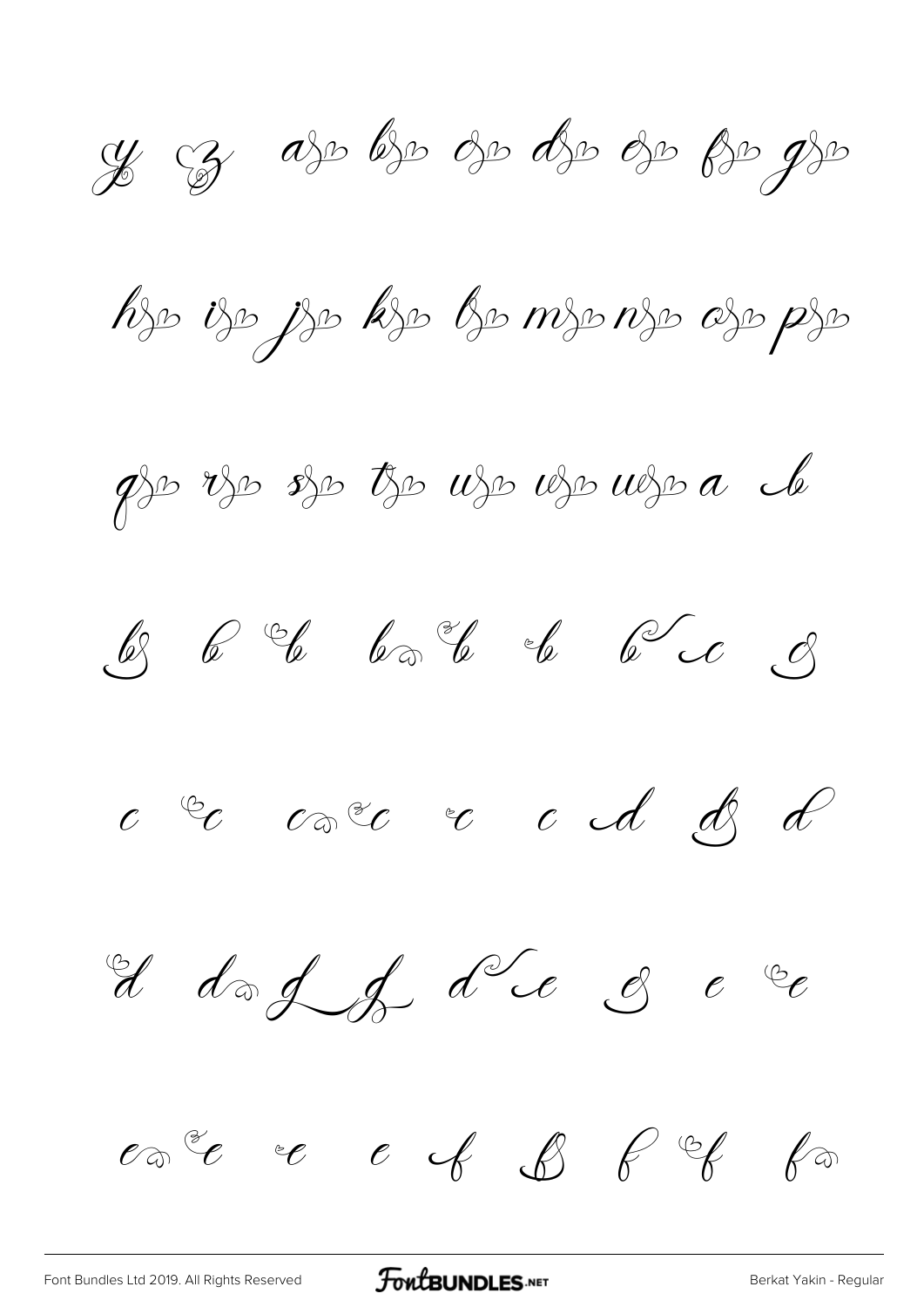y cz aso bso oso dso oso pso gso hjo ijo jjo kjo bo mjo njo ojo pjo  $\not\!\!\!\!\!p$   $\not\!\!\!\!\!p$   $\not\!\!\!\!p$   $\not\!\!\!\!p$   $\not\!\!\!\!p$   $\not\!\!\!\!p$   $\not\!\!\!\!p$   $\not\!\!\!\!p$   $\not\!\!\!\!p$   $\not\!\!\!\!p$   $\not\!\!\!\!p$   $\not\!\!\!\!p$   $\not\!\!\!p$   $\not\!\!\!p$   $\not\!\!\!p$   $\not\!\!\!p$   $\not\!\!\!p$   $\not\!\!\!p$   $\not\!\!\!p$   $\not\!\!\!p$   $\not\!\!\!$ 

 $c$   $^{\circledcirc}c$   $c$   $^{\circledcirc}c$   $^{\circ}c$   $^{\circ}d$   $^{\circ}d$   $^{\circ}d$ 

d dog of d'é 3 e 2



[Font Bundles Ltd 2019. All Rights Reserved](https://fontbundles.net/) **FoutBUNDLES.NET** Server [Berkat Yakin - Regular](https://fontbundles.net/)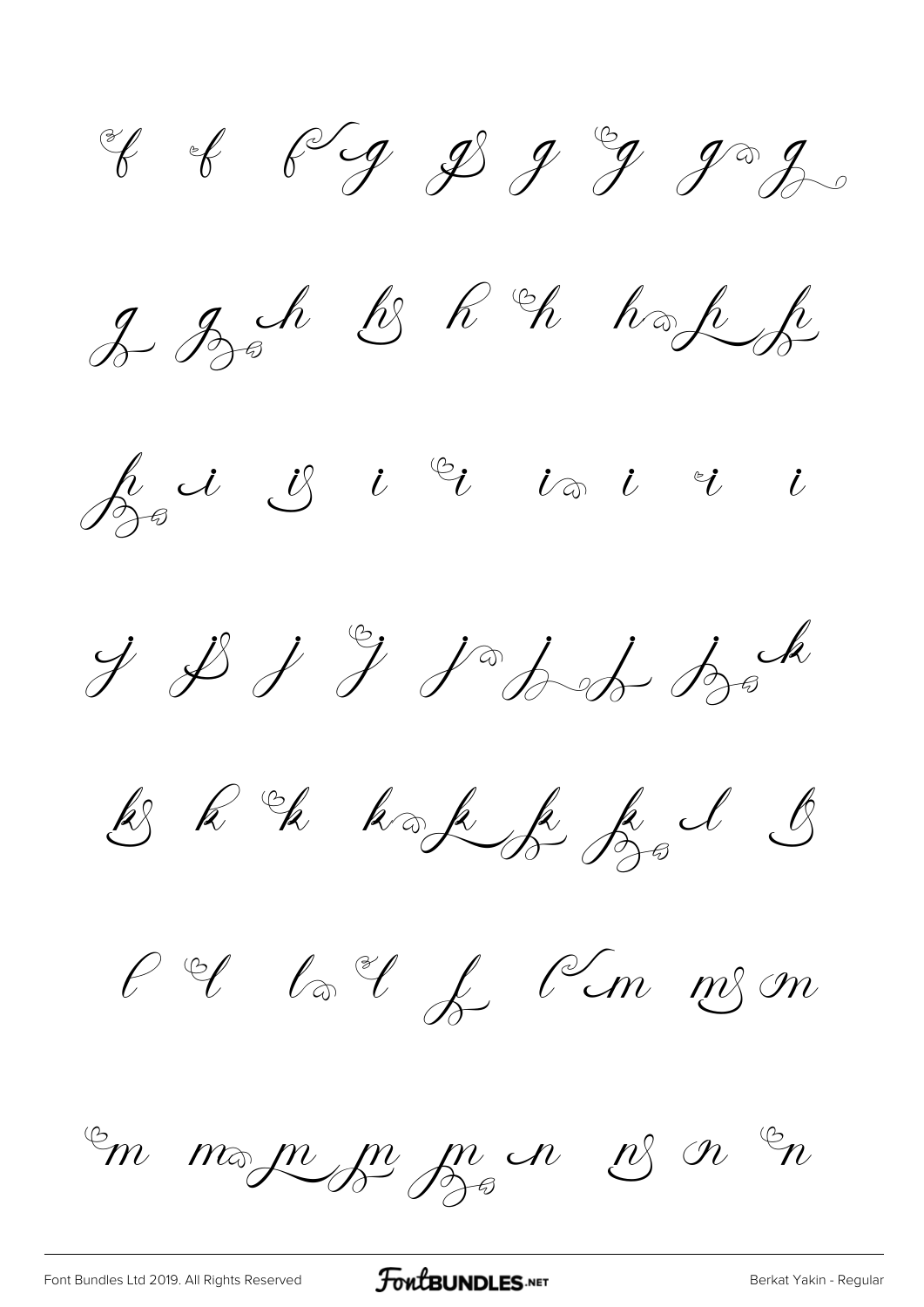of of fig \$ 9 go go

2 Boh & R & hope

 $\oint_{\mathcal{D}^{\oplus}}d\, \mathcal{L}\,\mathcal{L}\,\mathcal{L}\,\mathfrak{C}\,\mathfrak{C}\,\mathfrak{C}\,\mathfrak{C}\,\mathfrak{C}\,\mathfrak{C}\,\mathfrak{C}$ 

 $y$   $y$   $y$   $y$   $y$   $z$   $z$ 

& R & hak f fal &

 $\ell$  of  $\ell$  of  $\ell$   $\ell$  on  $m$  on

En morninge par en es or En

[Font Bundles Ltd 2019. All Rights Reserved](https://fontbundles.net/) **FoutBUNDLES.NET** Server [Berkat Yakin - Regular](https://fontbundles.net/)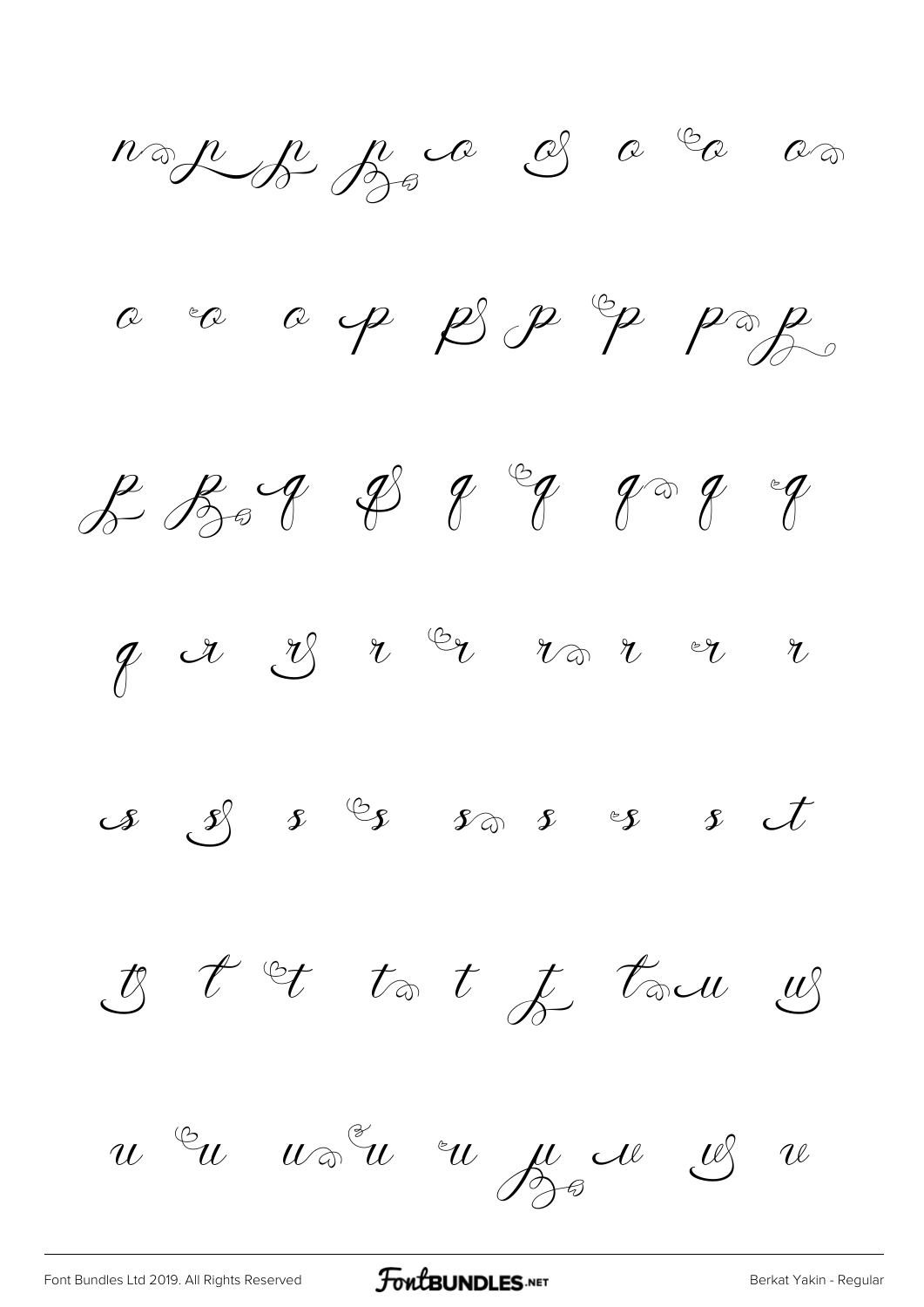nop je je od od od o a ca a p  $\beta$  p  $\gamma$  p ag  $f\circ f\circ f\circ g\circ g\circ g\circ g\circ g$  I t et to t f town

u Eu voien eu ju de 18 re